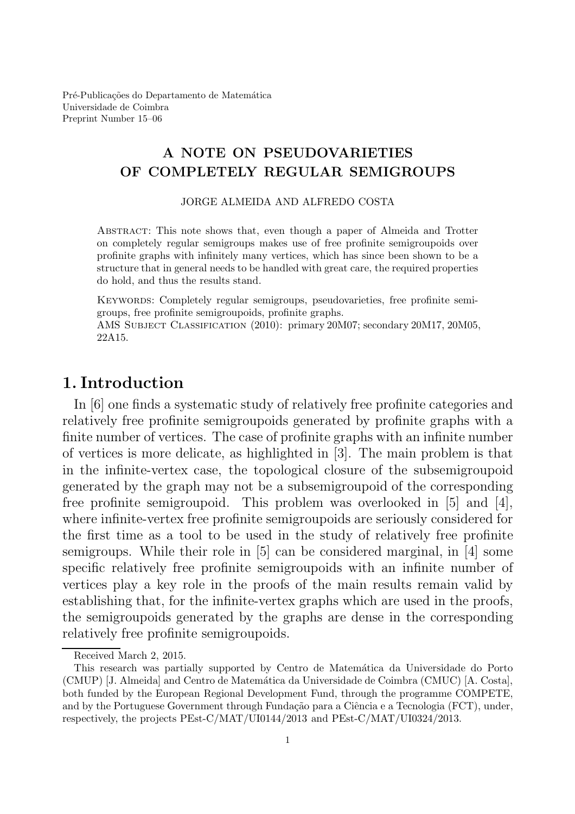Pré-Publicações do Departamento de Matemática Universidade de Coimbra Preprint Number 15–06

#### A NOTE ON PSEUDOVARIETIES OF COMPLETELY REGULAR SEMIGROUPS

JORGE ALMEIDA AND ALFREDO COSTA

Abstract: This note shows that, even though a paper of Almeida and Trotter on completely regular semigroups makes use of free profinite semigroupoids over profinite graphs with infinitely many vertices, which has since been shown to be a structure that in general needs to be handled with great care, the required properties do hold, and thus the results stand.

Keywords: Completely regular semigroups, pseudovarieties, free profinite semigroups, free profinite semigroupoids, profinite graphs.

AMS Subject Classification (2010): primary 20M07; secondary 20M17, 20M05, 22A15.

# 1. Introduction

In [6] one finds a systematic study of relatively free profinite categories and relatively free profinite semigroupoids generated by profinite graphs with a finite number of vertices. The case of profinite graphs with an infinite number of vertices is more delicate, as highlighted in [3]. The main problem is that in the infinite-vertex case, the topological closure of the subsemigroupoid generated by the graph may not be a subsemigroupoid of the corresponding free profinite semigroupoid. This problem was overlooked in [5] and [4], where infinite-vertex free profinite semigroupoids are seriously considered for the first time as a tool to be used in the study of relatively free profinite semigroups. While their role in [5] can be considered marginal, in [4] some specific relatively free profinite semigroupoids with an infinite number of vertices play a key role in the proofs of the main results remain valid by establishing that, for the infinite-vertex graphs which are used in the proofs, the semigroupoids generated by the graphs are dense in the corresponding relatively free profinite semigroupoids.

Received March 2, 2015.

This research was partially supported by Centro de Matemática da Universidade do Porto (CMUP) [J. Almeida] and Centro de Matem´atica da Universidade de Coimbra (CMUC) [A. Costa], both funded by the European Regional Development Fund, through the programme COMPETE, and by the Portuguese Government through Fundação para a Ciência e a Tecnologia (FCT), under, respectively, the projects PEst-C/MAT/UI0144/2013 and PEst-C/MAT/UI0324/2013.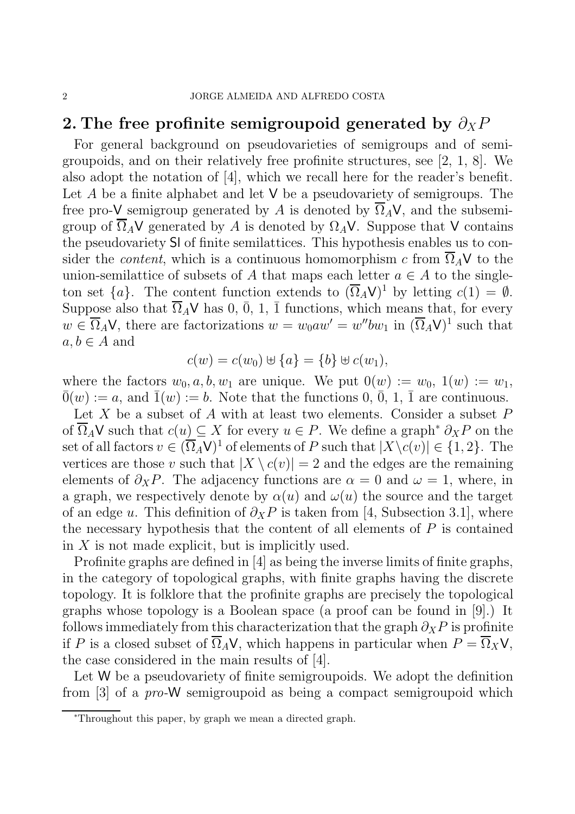# 2. The free profinite semigroupoid generated by  $\partial_X P$

For general background on pseudovarieties of semigroups and of semigroupoids, and on their relatively free profinite structures, see [2, 1, 8]. We also adopt the notation of [4], which we recall here for the reader's benefit. Let A be a finite alphabet and let  $V$  be a pseudovariety of semigroups. The free pro-V semigroup generated by A is denoted by  $\overline{\Omega}_A V$ , and the subsemigroup of  $\overline{\Omega}_A V$  generated by A is denoted by  $\Omega_A V$ . Suppose that V contains the pseudovariety Sl of finite semilattices. This hypothesis enables us to consider the *content*, which is a continuous homomorphism c from  $\overline{\Omega}_A$ V to the union-semilattice of subsets of A that maps each letter  $a \in A$  to the singleton set  $\{a\}$ . The content function extends to  $(\overline{\Omega}_A V)^1$  by letting  $c(1) = \emptyset$ . Suppose also that  $\overline{\Omega}_A V$  has 0,  $\overline{0}$ , 1,  $\overline{1}$  functions, which means that, for every  $w \in \overline{\Omega}_A V$ , there are factorizations  $w = w_0 a w' = w'' b w_1$  in  $(\overline{\Omega}_A V)^1$  such that  $a, b \in A$  and

$$
c(w) = c(w_0) \oplus \{a\} = \{b\} \oplus c(w_1),
$$

where the factors  $w_0, a, b, w_1$  are unique. We put  $0(w) := w_0, 1(w) := w_1$ ,  $\overline{0}(w) := a$ , and  $\overline{1}(w) := b$ . Note that the functions 0,  $\overline{0}$ , 1,  $\overline{1}$  are continuous.

Let X be a subset of A with at least two elements. Consider a subset  $P$ of  $\overline{\Omega}_A$ V such that  $c(u) \subseteq X$  for every  $u \in P$ . We define a graph<sup>\*</sup>  $\partial_X P$  on the set of all factors  $v \in (\overline{\Omega}_A V)^1$  of elements of P such that  $|X \setminus c(v)| \in \{1,2\}$ . The vertices are those v such that  $|X \setminus c(v)| = 2$  and the edges are the remaining elements of  $\partial_X P$ . The adjacency functions are  $\alpha = 0$  and  $\omega = 1$ , where, in a graph, we respectively denote by  $\alpha(u)$  and  $\omega(u)$  the source and the target of an edge u. This definition of  $\partial x P$  is taken from [4, Subsection 3.1], where the necessary hypothesis that the content of all elements of  $P$  is contained in  $X$  is not made explicit, but is implicitly used.

Profinite graphs are defined in [4] as being the inverse limits of finite graphs, in the category of topological graphs, with finite graphs having the discrete topology. It is folklore that the profinite graphs are precisely the topological graphs whose topology is a Boolean space (a proof can be found in [9].) It follows immediately from this characterization that the graph  $\partial_X P$  is profinite if P is a closed subset of  $\overline{\Omega}_A V$ , which happens in particular when  $P = \overline{\Omega}_X V$ , the case considered in the main results of [4].

Let W be a pseudovariety of finite semigroupoids. We adopt the definition from [3] of a pro-W semigroupoid as being a compact semigroupoid which

<sup>∗</sup>Throughout this paper, by graph we mean a directed graph.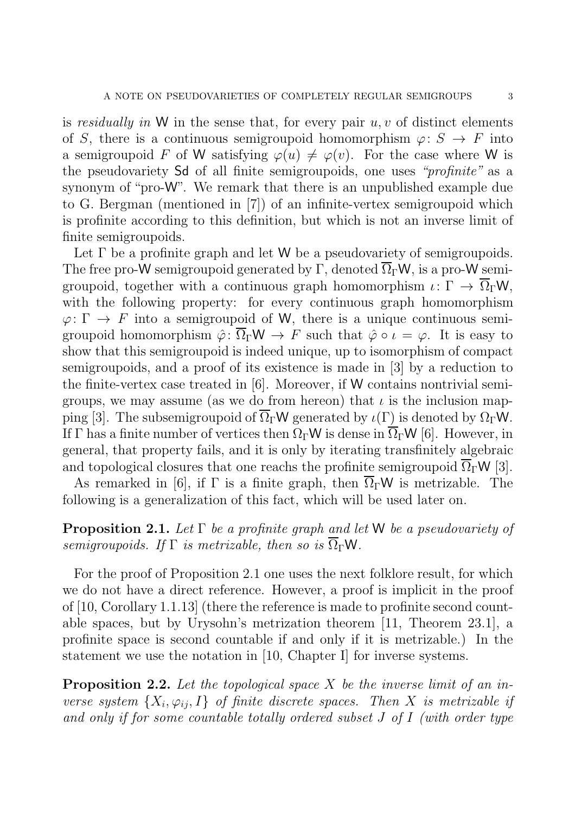is residually in W in the sense that, for every pair  $u, v$  of distinct elements of S, there is a continuous semigroupoid homomorphism  $\varphi: S \to F$  into a semigroupoid F of W satisfying  $\varphi(u) \neq \varphi(v)$ . For the case where W is the pseudovariety Sd of all finite semigroupoids, one uses "*profinite*" as a synonym of "pro-W". We remark that there is an unpublished example due to G. Bergman (mentioned in [7]) of an infinite-vertex semigroupoid which is profinite according to this definition, but which is not an inverse limit of finite semigroupoids.

Let  $\Gamma$  be a profinite graph and let W be a pseudovariety of semigroupoids. The free pro-W semigroupoid generated by Γ, denoted  $\overline{\Omega}_{\Gamma}$ W, is a pro-W semigroupoid, together with a continuous graph homomorphism  $\iota \colon \Gamma \to \overline{\Omega}_{\Gamma} \mathsf{W}$ , with the following property: for every continuous graph homomorphism  $\varphi: \Gamma \to F$  into a semigroupoid of W, there is a unique continuous semigroupoid homomorphism  $\hat{\varphi}$ :  $\overline{\Omega}_{\Gamma} \mathsf{W} \to F$  such that  $\hat{\varphi} \circ \iota = \varphi$ . It is easy to show that this semigroupoid is indeed unique, up to isomorphism of compact semigroupoids, and a proof of its existence is made in [3] by a reduction to the finite-vertex case treated in [6]. Moreover, if W contains nontrivial semigroups, we may assume (as we do from hereon) that  $\iota$  is the inclusion mapping [3]. The subsemigroupoid of  $\overline{\Omega}_{\Gamma}$ W generated by  $\iota(\Gamma)$  is denoted by  $\Omega_{\Gamma}$ W. If Γ has a finite number of vertices then  $\Omega_{\Gamma}$ W is dense in  $\overline{\Omega}_{\Gamma}$ W [6]. However, in general, that property fails, and it is only by iterating transfinitely algebraic and topological closures that one reachs the profinite semigroupoid  $\overline{\Omega}_\Gamma W$  [3].

As remarked in [6], if  $\Gamma$  is a finite graph, then  $\overline{\Omega}_{\Gamma}$ W is metrizable. The following is a generalization of this fact, which will be used later on.

### **Proposition 2.1.** Let  $\Gamma$  be a profinite graph and let W be a pseudovariety of semigroupoids. If  $\Gamma$  is metrizable, then so is  $\overline{\Omega}_{\Gamma}$ W.

For the proof of Proposition 2.1 one uses the next folklore result, for which we do not have a direct reference. However, a proof is implicit in the proof of [10, Corollary 1.1.13] (there the reference is made to profinite second countable spaces, but by Urysohn's metrization theorem [11, Theorem 23.1], a profinite space is second countable if and only if it is metrizable.) In the statement we use the notation in [10, Chapter I] for inverse systems.

**Proposition 2.2.** Let the topological space  $X$  be the inverse limit of an inverse system  $\{X_i, \varphi_{ij}, I\}$  of finite discrete spaces. Then X is metrizable if and only if for some countable totally ordered subset J of I (with order type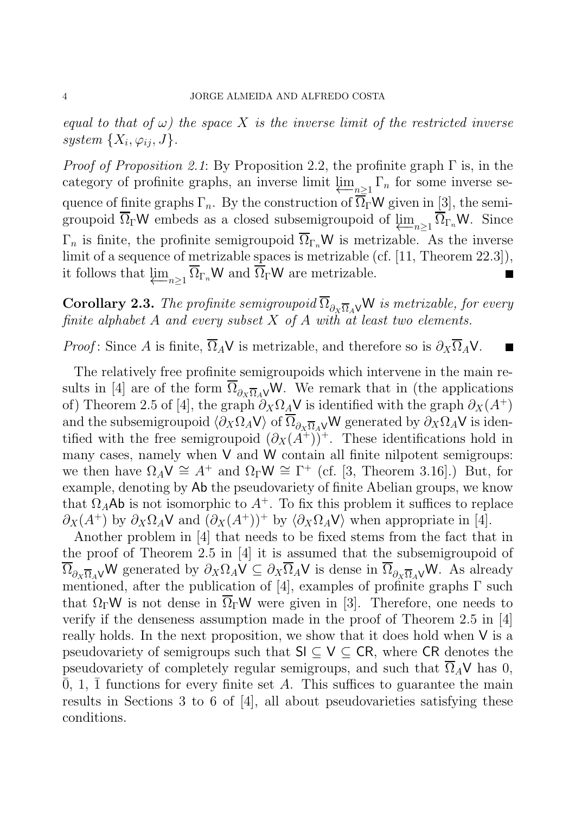equal to that of  $\omega$ ) the space X is the inverse limit of the restricted inverse system  $\{X_i, \varphi_{ij}, J\}$ .

*Proof of Proposition 2.1*: By Proposition 2.2, the profinite graph  $\Gamma$  is, in the category of profinite graphs, an inverse limit  $\varprojlim_{n\geq 1} \Gamma_n$  for some inverse sequence of finite graphs  $\Gamma_n$ . By the construction of  $\overline{\Omega}_\Gamma \mathsf{W}$  given in [3], the semigroupoid  $\overline{\Omega}_{\Gamma}$ W embeds as a closed subsemigroupoid of  $\varprojlim_{n\geq 1} \overline{\Omega}_{\Gamma_n}$ W. Since  $\Gamma_n$  is finite, the profinite semigroupoid  $\overline{\Omega}_{\Gamma_n}$ W is metrizable. As the inverse limit of a sequence of metrizable spaces is metrizable (cf. [11, Theorem 22.3]), it follows that  $\underline{\lim}_{n\geq 1} \overline{\Omega}_{\Gamma_n} W$  and  $\overline{\Omega}_{\Gamma} W$  are metrizable.

**Corollary 2.3.** The profinite semigroupoid  $\overline{\Omega}_{\partial x}$ <sub> $\overline{\Omega}_A$ </sub>W is metrizable, for every finite alphabet A and every subset  $X$  of A with at least two elements.

*Proof*: Since A is finite,  $\overline{\Omega}_A$ V is metrizable, and therefore so is  $\partial_X \overline{\Omega}_A$ V.

The relatively free profinite semigroupoids which intervene in the main results in [4] are of the form  $\overline{\Omega}_{\partial_X \overline{\Omega}_A}$  W. We remark that in (the applications of) Theorem 2.5 of [4], the graph  $\partial_X \Omega_A V$  is identified with the graph  $\partial_X (A^+)$ and the subsemigroupoid  $\langle \partial_X \Omega_A V \rangle$  of  $\overline{\Omega}_{\partial_X \overline{\Omega}_A}$  W generated by  $\partial_X \Omega_A V$  is identified with the free semigroupoid  $(\partial_X(\tilde{A}^+))^+$ . These identifications hold in many cases, namely when V and W contain all finite nilpotent semigroups: we then have  $\Omega_A V \cong A^+$  and  $\Omega_{\Gamma} W \cong \Gamma^+$  (cf. [3, Theorem 3.16].) But, for example, denoting by Ab the pseudovariety of finite Abelian groups, we know that  $\Omega_A$ Ab is not isomorphic to  $A^+$ . To fix this problem it suffices to replace  $\partial_X(A^+)$  by  $\partial_X\Omega_A\mathsf{V}$  and  $(\partial_X(A^+))^+$  by  $\langle \partial_X\Omega_A\mathsf{V} \rangle$  when appropriate in [4].

Another problem in [4] that needs to be fixed stems from the fact that in the proof of Theorem 2.5 in [4] it is assumed that the subsemigroupoid of  $\overline{\Omega}_{\partial x \overline{\Omega}_A}$  W generated by  $\partial_X \Omega_A V \subseteq \partial_X \overline{\Omega}_A V$  is dense in  $\overline{\Omega}_{\partial x \overline{\Omega}_A}$  W. As already mentioned, after the publication of [4], examples of profinite graphs  $\Gamma$  such that  $\Omega_{\Gamma}$ W is not dense in  $\Omega_{\Gamma}$ W were given in [3]. Therefore, one needs to verify if the denseness assumption made in the proof of Theorem 2.5 in [4] really holds. In the next proposition, we show that it does hold when V is a pseudovariety of semigroups such that  $\mathsf{S} \subset \mathsf{V} \subset \mathsf{CR}$ , where  $\mathsf{CR}$  denotes the pseudovariety of completely regular semigroups, and such that  $\overline{\Omega}_A V$  has 0,  $\overline{0}$ , 1,  $\overline{1}$  functions for every finite set A. This suffices to guarantee the main results in Sections 3 to 6 of [4], all about pseudovarieties satisfying these conditions.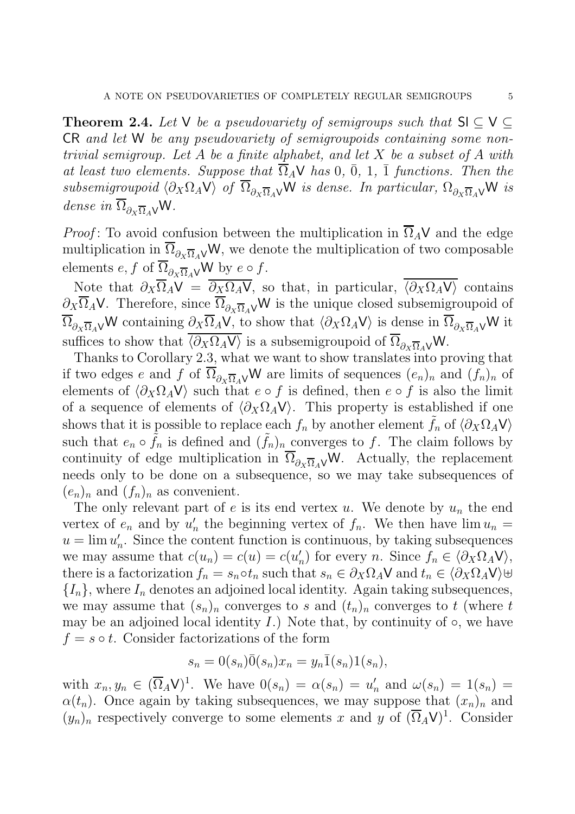**Theorem 2.4.** Let V be a pseudovariety of semigroups such that  $\mathsf{SI} \subseteq \mathsf{V} \subseteq \mathsf{S}$ CR and let W be any pseudovariety of semigroupoids containing some nontrivial semigroup. Let A be a finite alphabet, and let X be a subset of A with at least two elements. Suppose that  $\overline{\Omega}_A \vee$  has 0,  $\overline{0}$ , 1,  $\overline{1}$  functions. Then the subsemigroupoid  $\langle \partial_X \Omega_A V \rangle$  of  $\overline{\Omega}_{\partial_X \overline{\Omega}_A}$  W is dense. In particular,  $\Omega_{\partial_X \overline{\Omega}_A}$  W is dense in  $\overline{\Omega}_{\partial y \overline{\Omega} A}$ W.

*Proof*: To avoid confusion between the multiplication in  $\overline{\Omega}_A$ V and the edge multiplication in  $\overline{\Omega}_{\partial x \overline{\Omega}_4} \vee W$ , we denote the multiplication of two composable elements  $e, f$  of  $\overline{\Omega}_{\partial x \overline{\Omega}_A}$  W by  $e \circ f$ .

Note that  $\partial_X \overline{\Omega}_A V = \overline{\partial_X \Omega_A V}$ , so that, in particular,  $\overline{\langle \partial_X \Omega_A V \rangle}$  contains  $\partial_X \overline{\Omega}_A$ V. Therefore, since  $\overline{\Omega}_{\partial_X \overline{\Omega}_A}$  W is the unique closed subsemigroupoid of  $\overline{\Omega}_{\partial_{X}\overline{\Omega}_{A}\vee}W$  containing  $\partial_{X}\overline{\Omega}_{A}\vee$ , to show that  $\langle \partial_{X}\Omega_{A}\vee \rangle$  is dense in  $\overline{\Omega}_{\partial_{X}\overline{\Omega}_{A}\vee}W$  it suffices to show that  $\overline{\langle \partial_X \Omega_A V \rangle}$  is a subsemigroupoid of  $\overline{\Omega}_{\partial_X \overline{\Omega}_A} V$ W.

Thanks to Corollary 2.3, what we want to show translates into proving that if two edges e and f of  $\overline{\Omega}_{\partial x} \overline{\Omega}_A \vee W$  are limits of sequences  $(e_n)_n$  and  $(f_n)_n$  of elements of  $\langle \partial_X \Omega_A V \rangle$  such that  $e \circ f$  is defined, then  $e \circ f$  is also the limit of a sequence of elements of  $\langle \partial_X \Omega_A V \rangle$ . This property is established if one shows that it is possible to replace each  $f_n$  by another element  $f_n$  of  $\langle \partial_X \Omega_A V \rangle$ such that  $e_n \circ \tilde{f}_n$  is defined and  $(\tilde{f}_n)_n$  converges to f. The claim follows by continuity of edge multiplication in  $\overline{\Omega}_{\partial_x \overline{\Omega}_A}$  W. Actually, the replacement needs only to be done on a subsequence, so we may take subsequences of  $(e_n)_n$  and  $(f_n)_n$  as convenient.

The only relevant part of e is its end vertex u. We denote by  $u_n$  the end vertex of  $e_n$  and by  $u'_n$ h, the beginning vertex of  $f_n$ . We then have  $\lim u_n =$  $u = \lim u'_i$  $n'_{n}$ . Since the content function is continuous, by taking subsequences we may assume that  $c(u_n) = c(u) = c(u'_n)$  $n'$  for every n. Since  $f_n \in \langle \partial_X \Omega_A \mathsf{V} \rangle$ , there is a factorization  $f_n = s_n \circ t_n$  such that  $s_n \in \partial_X \Omega_A \vee \partial_X \Omega_A \vee \partial_X \Omega_A$  ${I_n}$ , where  $I_n$  denotes an adjoined local identity. Again taking subsequences, we may assume that  $(s_n)_n$  converges to s and  $(t_n)_n$  converges to t (where t may be an adjoined local identity  $I$ .) Note that, by continuity of  $\circ$ , we have  $f = s \circ t$ . Consider factorizations of the form

$$
s_n = 0(s_n)\overline{0}(s_n)x_n = y_n\overline{1}(s_n)1(s_n),
$$

with  $x_n, y_n \in (\overline{\Omega}_A \mathsf{V})^1$ . We have  $0(s_n) = \alpha(s_n) = u'_n$  and  $\omega(s_n) = 1(s_n) =$  $\alpha(t_n)$ . Once again by taking subsequences, we may suppose that  $(x_n)_n$  and  $(y_n)_n$  respectively converge to some elements x and y of  $(\overline{\Omega}_A V)^1$ . Consider